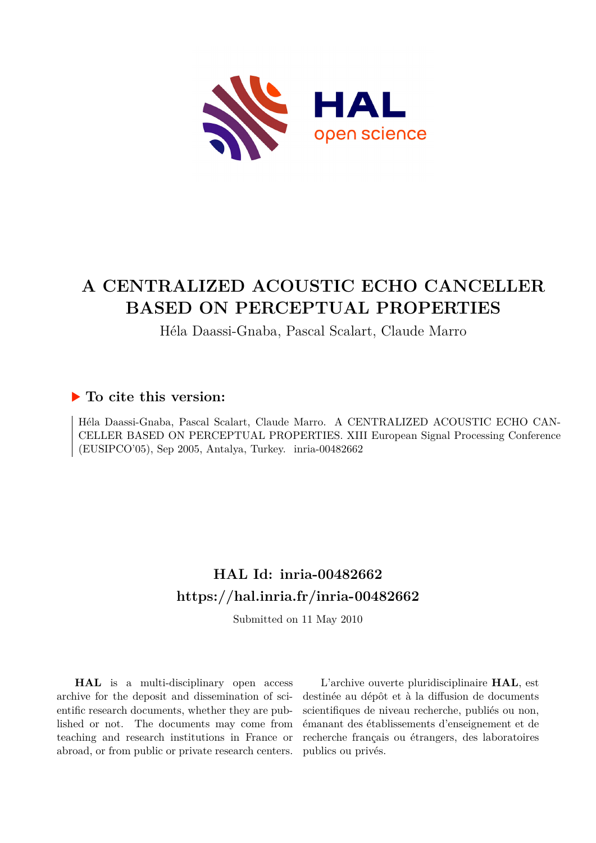

# **A CENTRALIZED ACOUSTIC ECHO CANCELLER BASED ON PERCEPTUAL PROPERTIES**

## Héla Daassi-Gnaba, Pascal Scalart, Claude Marro

## **To cite this version:**

Héla Daassi-Gnaba, Pascal Scalart, Claude Marro. A CENTRALIZED ACOUSTIC ECHO CAN-CELLER BASED ON PERCEPTUAL PROPERTIES. XIII European Signal Processing Conference  $(EUSIPCO'05)$ , Sep 2005, Antalya, Turkey. inria-00482662

# **HAL Id: inria-00482662 <https://hal.inria.fr/inria-00482662>**

Submitted on 11 May 2010

**HAL** is a multi-disciplinary open access archive for the deposit and dissemination of scientific research documents, whether they are published or not. The documents may come from teaching and research institutions in France or abroad, or from public or private research centers.

L'archive ouverte pluridisciplinaire **HAL**, est destinée au dépôt et à la diffusion de documents scientifiques de niveau recherche, publiés ou non, émanant des établissements d'enseignement et de recherche français ou étrangers, des laboratoires publics ou privés.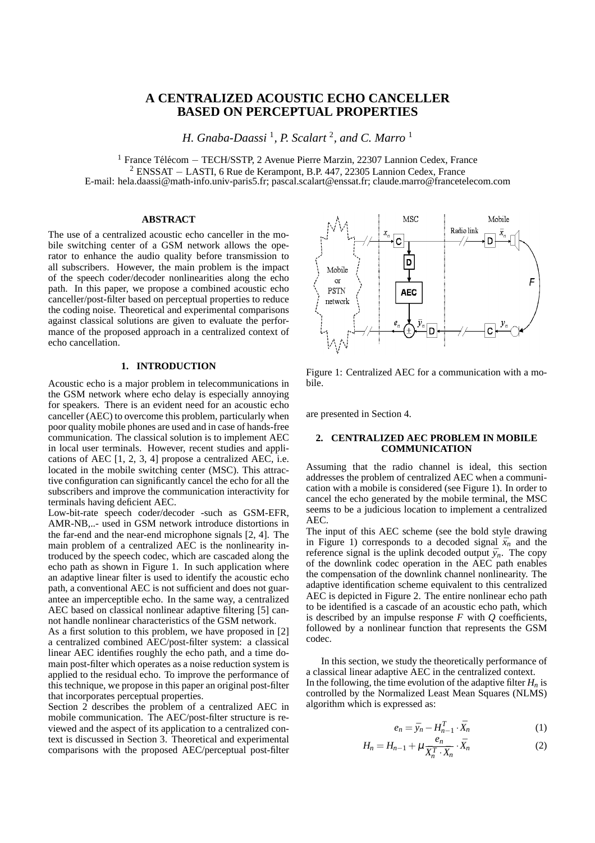### **A CENTRALIZED ACOUSTIC ECHO CANCELLER BASED ON PERCEPTUAL PROPERTIES**

*H. Gnaba-Daassi* <sup>1</sup> *, P. Scalart* <sup>2</sup> *, and C. Marro* <sup>1</sup>

<sup>1</sup> France Télécom – TECH/SSTP, 2 Avenue Pierre Marzin, 22307 Lannion Cedex, France <sup>2</sup> ENSSAT − LASTI, 6 Rue de Kerampont, B.P. 447, 22305 Lannion Cedex, France E-mail: hela.daassi@math-info.univ-paris5.fr; pascal.scalart@enssat.fr; claude.marro@francetelecom.com

#### **ABSTRACT**

The use of a centralized acoustic echo canceller in the mobile switching center of a GSM network allows the operator to enhance the audio quality before transmission to all subscribers. However, the main problem is the impact of the speech coder/decoder nonlinearities along the echo path. In this paper, we propose a combined acoustic echo canceller/post-filter based on perceptual properties to reduce the coding noise. Theoretical and experimental comparisons against classical solutions are given to evaluate the performance of the proposed approach in a centralized context of echo cancellation.

#### **1. INTRODUCTION**

Acoustic echo is a major problem in telecommunications in the GSM network where echo delay is especially annoying for speakers. There is an evident need for an acoustic echo canceller (AEC) to overcome this problem, particularly when poor quality mobile phones are used and in case of hands-free communication. The classical solution is to implement AEC in local user terminals. However, recent studies and applications of AEC [1, 2, 3, 4] propose a centralized AEC, i.e. located in the mobile switching center (MSC). This attractive configuration can significantly cancel the echo for all the subscribers and improve the communication interactivity for terminals having deficient AEC.

Low-bit-rate speech coder/decoder -such as GSM-EFR, AMR-NB,..- used in GSM network introduce distortions in the far-end and the near-end microphone signals [2, 4]. The main problem of a centralized AEC is the nonlinearity introduced by the speech codec, which are cascaded along the echo path as shown in Figure 1. In such application where an adaptive linear filter is used to identify the acoustic echo path, a conventional AEC is not sufficient and does not guarantee an imperceptible echo. In the same way, a centralized AEC based on classical nonlinear adaptive filtering [5] cannot handle nonlinear characteristics of the GSM network.

As a first solution to this problem, we have proposed in [2] a centralized combined AEC/post-filter system: a classical linear AEC identifies roughly the echo path, and a time domain post-filter which operates as a noise reduction system is applied to the residual echo. To improve the performance of this technique, we propose in this paper an original post-filter that incorporates perceptual properties.

Section 2 describes the problem of a centralized AEC in mobile communication. The AEC/post-filter structure is reviewed and the aspect of its application to a centralized context is discussed in Section 3. Theoretical and experimental comparisons with the proposed AEC/perceptual post-filter



Figure 1: Centralized AEC for a communication with a mobile.

are presented in Section 4.

#### **2. CENTRALIZED AEC PROBLEM IN MOBILE COMMUNICATION**

Assuming that the radio channel is ideal, this section addresses the problem of centralized AEC when a communication with a mobile is considered (see Figure 1). In order to cancel the echo generated by the mobile terminal, the MSC seems to be a judicious location to implement a centralized AEC.

The input of this AEC scheme (see the bold style drawing in Figure 1) corresponds to a decoded signal  $\bar{x}_n$  and the reference signal is the uplink decoded output  $\bar{y}_n$ . The copy of the downlink codec operation in the AEC path enables the compensation of the downlink channel nonlinearity. The adaptive identification scheme equivalent to this centralized AEC is depicted in Figure 2. The entire nonlinear echo path to be identified is a cascade of an acoustic echo path, which is described by an impulse response *F* with *Q* coefficients, followed by a nonlinear function that represents the GSM codec.

In this section, we study the theoretically performance of a classical linear adaptive AEC in the centralized context. In the following, the time evolution of the adaptive filter  $H_n$  is controlled by the Normalized Least Mean Squares (NLMS) algorithm which is expressed as:

$$
e_n = \bar{y}_n - H_{n-1}^T \cdot \bar{X}_n \tag{1}
$$

$$
H_n = H_{n-1} + \mu \frac{e_n}{\bar{X}_n^T \cdot \bar{X}_n} \cdot \bar{X}_n
$$
 (2)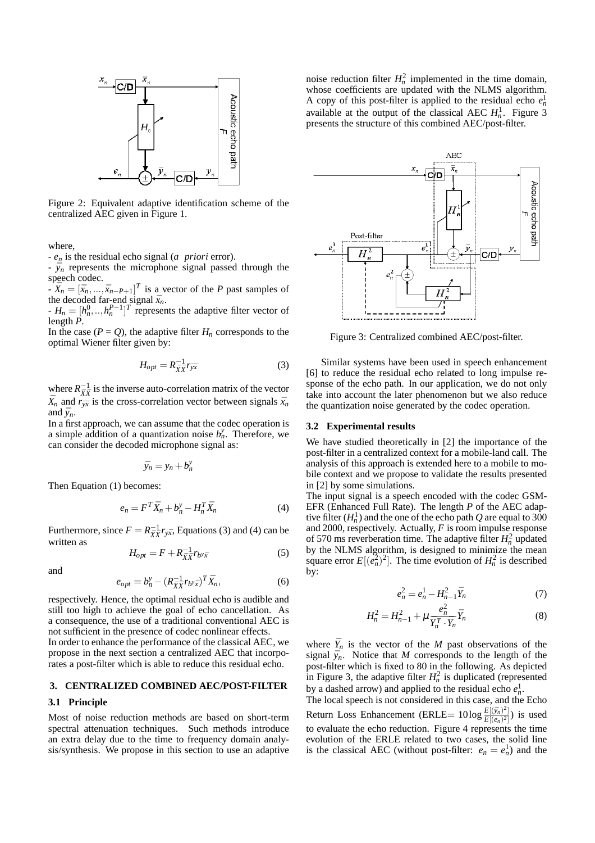

Figure 2: Equivalent adaptive identification scheme of the centralized AEC given in Figure 1.

where,

- *e<sup>n</sup>* is the residual echo signal (*a priori* error).

 $\bar{y}_n$  represents the microphone signal passed through the speech codec.

 $-\overline{X}_n = [\overline{x}_n, ..., \overline{x}_{n-P+1}]^T$  is a vector of the *P* past samples of the decoded far-end signal  $\bar{x}_n$ .

 $H_n = [h_n^0, \ldots, h_n^{P-1}]^T$  represents the adaptive filter vector of length *P*.

In the case  $(P = Q)$ , the adaptive filter  $H_n$  corresponds to the optimal Wiener filter given by:

$$
H_{opt} = R_{\bar{X}\bar{X}}^{-1} r_{\bar{y}\bar{x}} \tag{3}
$$

where  $R_{\bar{X}\bar{X}}^{-1}$  is the inverse auto-correlation matrix of the vector  $\bar{X}_n$  and  $\bar{r}_{\bar{y}\bar{x}}$  is the cross-correlation vector between signals  $\bar{x}_n$ and  $\bar{y}_n$ .

In a first approach, we can assume that the codec operation is a simple addition of a quantization noise  $b_n^y$ . Therefore, we can consider the decoded microphone signal as:

$$
\bar{y}_n = y_n + b_n^y
$$

Then Equation (1) becomes:

$$
e_n = F^T \bar{X}_n + b_n^{\mathrm{y}} - H_n^T \bar{X}_n \tag{4}
$$

Furthermore, since  $F = R_{\bar{X}\bar{X}}^{-1}r_{\bar{Y}\bar{X}}$ , Equations (3) and (4) can be written as

$$
H_{opt} = F + R_{\bar{X}\bar{X}}^{-1} r_{b^{\gamma}\bar{x}} \tag{5}
$$

and

$$
e_{opt} = b_n^y - \left(R_{\bar{X}\bar{X}}^{-1}r_{b^y\bar{x}}\right)^T \bar{X}_n, \tag{6}
$$

respectively. Hence, the optimal residual echo is audible and still too high to achieve the goal of echo cancellation. As a consequence, the use of a traditional conventional AEC is not sufficient in the presence of codec nonlinear effects.

In order to enhance the performance of the classical AEC, we propose in the next section a centralized AEC that incorporates a post-filter which is able to reduce this residual echo.

#### **3. CENTRALIZED COMBINED AEC/POST-FILTER**

#### **3.1 Principle**

Most of noise reduction methods are based on short-term spectral attenuation techniques. Such methods introduce an extra delay due to the time to frequency domain analysis/synthesis. We propose in this section to use an adaptive

noise reduction filter  $H_n^2$  implemented in the time domain, whose coefficients are updated with the NLMS algorithm. A copy of this post-filter is applied to the residual echo  $e_n^1$ available at the output of the classical AEC  $H_n^1$ . Figure 3 presents the structure of this combined AEC/post-filter.



Figure 3: Centralized combined AEC/post-filter.

Similar systems have been used in speech enhancement [6] to reduce the residual echo related to long impulse response of the echo path. In our application, we do not only take into account the later phenomenon but we also reduce the quantization noise generated by the codec operation.

#### **3.2 Experimental results**

We have studied theoretically in [2] the importance of the post-filter in a centralized context for a mobile-land call. The analysis of this approach is extended here to a mobile to mobile context and we propose to validate the results presented in [2] by some simulations.

The input signal is a speech encoded with the codec GSM-EFR (Enhanced Full Rate). The length *P* of the AEC adaptive filter  $(H_n^1)$  and the one of the echo path *Q* are equal to 300 and 2000, respectively. Actually, *F* is room impulse response of 570 ms reverberation time. The adaptive filter  $H_n^2$  updated by the NLMS algorithm, is designed to minimize the mean square error  $E[(e_n^2)^2]$ . The time evolution of  $H_n^2$  is described by:

$$
e_n^2 = e_n^1 - H_{n-1}^2 \bar{Y}_n \tag{7}
$$

$$
H_n^2 = H_{n-1}^2 + \mu \frac{e_n^2}{\bar{Y}_n^T \cdot \bar{Y}_n} \bar{Y}_n
$$
 (8)

where  $\bar{Y}_n$  is the vector of the *M* past observations of the signal  $\bar{y}_n$ . Notice that *M* corresponds to the length of the post-filter which is fixed to 80 in the following. As depicted in Figure 3, the adaptive filter  $H_n^2$  is duplicated (represented by a dashed arrow) and applied to the residual echo  $e_n^1$ .

The local speech is not considered in this case, and the Echo Return Loss Enhancement (ERLE=  $10\log \frac{E[(\bar{y}_n)^2]}{E[(a_0-1)]}$  $\frac{E[(y_n)^2]}{E[(e_n)^2]}$ ) is used to evaluate the echo reduction. Figure 4 represents the time evolution of the ERLE related to two cases, the solid line is the classical AEC (without post-filter:  $e_n = e_n^1$ ) and the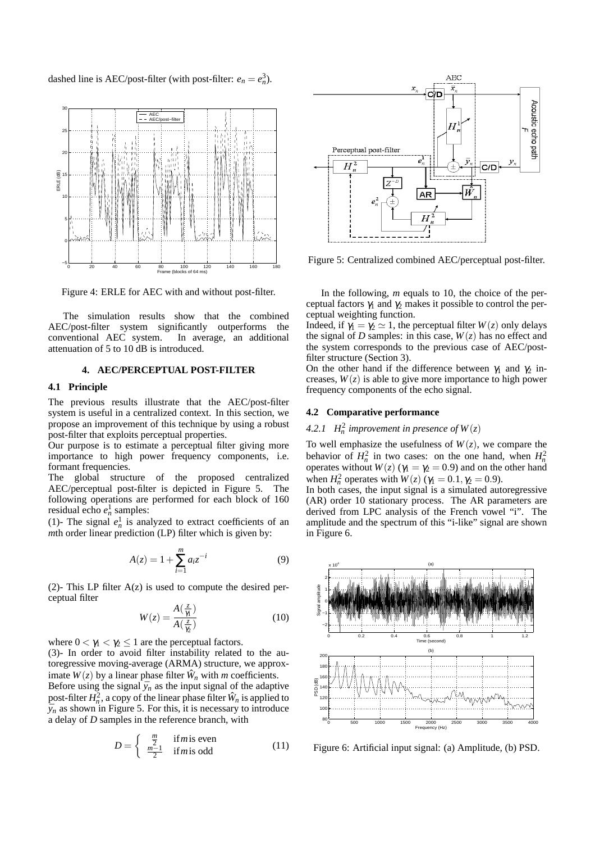dashed line is AEC/post-filter (with post-filter:  $e_n = e_n^3$ ).



Figure 4: ERLE for AEC with and without post-filter.

The simulation results show that the combined AEC/post-filter system significantly outperforms the conventional AEC system. In average, an additional attenuation of 5 to 10 dB is introduced.

#### **4. AEC/PERCEPTUAL POST-FILTER**

#### **4.1 Principle**

The previous results illustrate that the AEC/post-filter system is useful in a centralized context. In this section, we propose an improvement of this technique by using a robust post-filter that exploits perceptual properties.

Our purpose is to estimate a perceptual filter giving more importance to high power frequency components, i.e. formant frequencies.

The global structure of the proposed centralized AEC/perceptual post-filter is depicted in Figure 5. The following operations are performed for each block of 160 residual echo  $e_n^1$  samples:

(1)- The signal  $e_n^1$  is analyzed to extract coefficients of an *mth* order linear prediction (LP) filter which is given by:

$$
A(z) = 1 + \sum_{i=1}^{m} a_i z^{-i}
$$
 (9)

(2)- This LP filter  $A(z)$  is used to compute the desired perceptual filter

$$
W(z) = \frac{A(\frac{z}{\gamma_1})}{A(\frac{z}{\gamma_2})}
$$
\n(10)

where  $0 < \gamma_1 < \gamma_2 \leq 1$  are the perceptual factors.

(3)- In order to avoid filter instability related to the autoregressive moving-average (ARMA) structure, we approximate  $W(z)$  by a linear phase filter  $\hat{W}_n$  with *m* coefficients.

Before using the signal  $\bar{y}_n$  as the input signal of the adaptive post-filter  $H_n^2$ , a copy of the linear phase filter  $\hat{W}_n$  is applied to  $\bar{y}_n$  as shown in Figure 5. For this, it is necessary to introduce a delay of *D* samples in the reference branch, with

$$
D = \begin{cases} \frac{m}{2} & \text{if } m \text{ is even} \\ \frac{m-1}{2} & \text{if } m \text{ is odd} \end{cases} \tag{11}
$$



Figure 5: Centralized combined AEC/perceptual post-filter.

In the following, *m* equals to 10, the choice of the perceptual factors  $\gamma_1$  and  $\gamma_2$  makes it possible to control the perceptual weighting function.

Indeed, if  $\gamma_1 = \gamma_2 \simeq 1$ , the perceptual filter  $W(z)$  only delays the signal of *D* samples: in this case,  $W(z)$  has no effect and the system corresponds to the previous case of AEC/postfilter structure (Section 3).

On the other hand if the difference between  $\gamma_1$  and  $\gamma_2$  increases,  $W(z)$  is able to give more importance to high power frequency components of the echo signal.

#### **4.2 Comparative performance**

### 4.2.1  $H_n^2$  improvement in presence of  $W(z)$

To well emphasize the usefulness of  $W(z)$ , we compare the behavior of  $H_n^2$  in two cases: on the one hand, when  $H_n^2$ operates without  $W(z)$  ( $\gamma_1 = \gamma_2 = 0.9$ ) and on the other hand when  $H_n^2$  operates with  $W(z)$  ( $\gamma_1 = 0.1, \gamma_2 = 0.9$ ).

In both cases, the input signal is a simulated autoregressive (AR) order 10 stationary process. The AR parameters are derived from LPC analysis of the French vowel "i". The amplitude and the spectrum of this "i-like" signal are shown in Figure 6.



Figure 6: Artificial input signal: (a) Amplitude, (b) PSD.